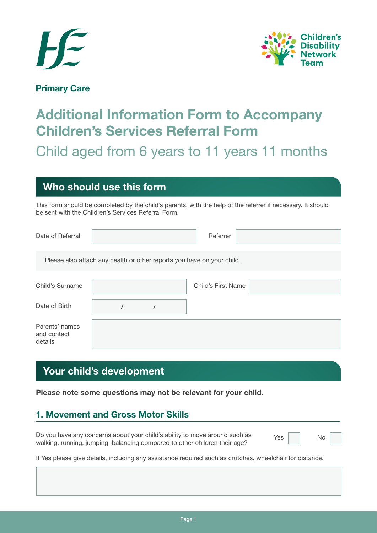



#### **Primary Care**

# **Additional Information Form to Accompany Children's Services Referral Form**

Child aged from 6 years to 11 years 11 months

## **Who should use this form**

This form should be completed by the child's parents, with the help of the referrer if necessary. It should be sent with the Children's Services Referral Form.

| Date of Referral                         | Referrer                                                               |
|------------------------------------------|------------------------------------------------------------------------|
|                                          | Please also attach any health or other reports you have on your child. |
| Child's Surname                          | <b>Child's First Name</b>                                              |
| Date of Birth                            |                                                                        |
| Parents' names<br>and contact<br>details |                                                                        |

# **Your child's development**

**Please note some questions may not be relevant for your child.**

### **1. Movement and Gross Motor Skills**

Do you have any concerns about your child's ability to move around such as walking, running, jumping, balancing compared to other children their age? Yes No

If Yes please give details, including any assistance required such as crutches, wheelchair for distance.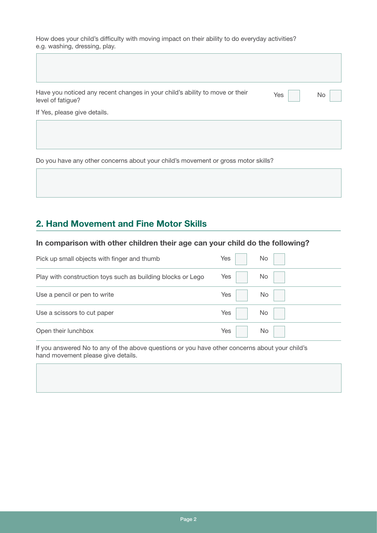How does your child's difficulty with moving impact on their ability to do everyday activities? e.g. washing, dressing, play.

| Yes | No |
|-----|----|
|     |    |
|     |    |
|     |    |

Do you have any other concerns about your child's movement or gross motor skills?

### **2. Hand Movement and Fine Motor Skills**

 $\Box$ 

#### **In comparison with other children their age can your child do the following?**

| Pick up small objects with finger and thumb                 | Yes | No |
|-------------------------------------------------------------|-----|----|
| Play with construction toys such as building blocks or Lego | Yes | No |
| Use a pencil or pen to write                                | Yes | No |
| Use a scissors to cut paper                                 | Yes | No |
| Open their lunchbox                                         | Yes | No |

If you answered No to any of the above questions or you have other concerns about your child's hand movement please give details.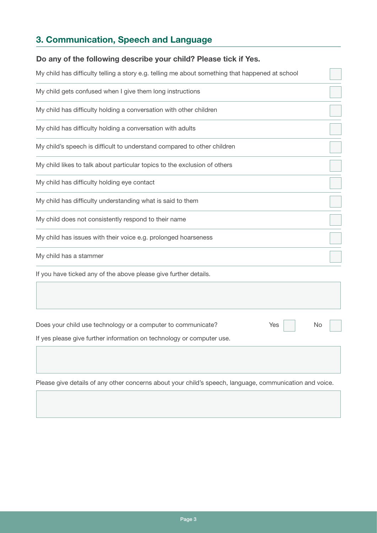# **3. Communication, Speech and Language**

| Do any of the following describe your child? Please tick if Yes.                                |  |
|-------------------------------------------------------------------------------------------------|--|
| My child has difficulty telling a story e.g. telling me about something that happened at school |  |
| My child gets confused when I give them long instructions                                       |  |
| My child has difficulty holding a conversation with other children                              |  |
| My child has difficulty holding a conversation with adults                                      |  |
| My child's speech is difficult to understand compared to other children                         |  |
| My child likes to talk about particular topics to the exclusion of others                       |  |
| My child has difficulty holding eye contact                                                     |  |
| My child has difficulty understanding what is said to them                                      |  |
| My child does not consistently respond to their name                                            |  |
| My child has issues with their voice e.g. prolonged hoarseness                                  |  |
| My child has a stammer                                                                          |  |
| If you have ticked any of the above please give further details.                                |  |
|                                                                                                 |  |
| Does your child use technology or a computer to communicate?<br>Yes<br>No                       |  |
| If yes please give further information on technology or computer use.                           |  |
|                                                                                                 |  |
|                                                                                                 |  |

Please give details of any other concerns about your child's speech, language, communication and voice.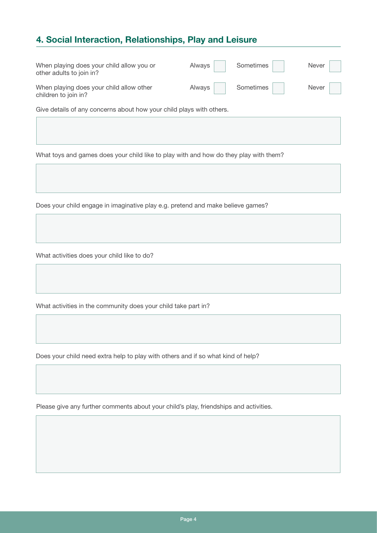### **4. Social Interaction, Relationships, Play and Leisure**

| When playing does your child allow you or<br>other adults to join in? | Always | Sometimes | <b>Never</b> |
|-----------------------------------------------------------------------|--------|-----------|--------------|
| When playing does your child allow other<br>children to join in?      | Always | Sometimes | Never        |
| Give details of any concerns about how your child plays with others.  |        |           |              |

What toys and games does your child like to play with and how do they play with them?

Does your child engage in imaginative play e.g. pretend and make believe games?

What activities does your child like to do?

What activities in the community does your child take part in?

Does your child need extra help to play with others and if so what kind of help?

Please give any further comments about your child's play, friendships and activities.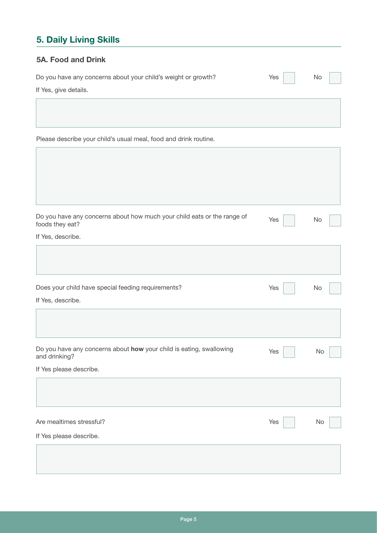# **5. Daily Living Skills**

#### **5A. Food and Drink**

| Do you have any concerns about your child's weight or growth? | $Yes$ $\Box$ | No |  |
|---------------------------------------------------------------|--------------|----|--|
| If Yes, give details.                                         |              |    |  |

Please describe your child's usual meal, food and drink routine.

| Do you have any concerns about how much your child eats or the range of<br>foods they eat? | Yes | No |
|--------------------------------------------------------------------------------------------|-----|----|
| If Yes, describe.                                                                          |     |    |
|                                                                                            |     |    |
| Does your child have special feeding requirements?                                         | Yes | No |
| If Yes, describe.                                                                          |     |    |
|                                                                                            |     |    |
| Do you have any concerns about how your child is eating, swallowing<br>and drinking?       | Yes | No |
| If Yes please describe.                                                                    |     |    |
|                                                                                            |     |    |
| Are mealtimes stressful?                                                                   | Yes | No |
| If Yes please describe.                                                                    |     |    |
|                                                                                            |     |    |
|                                                                                            |     |    |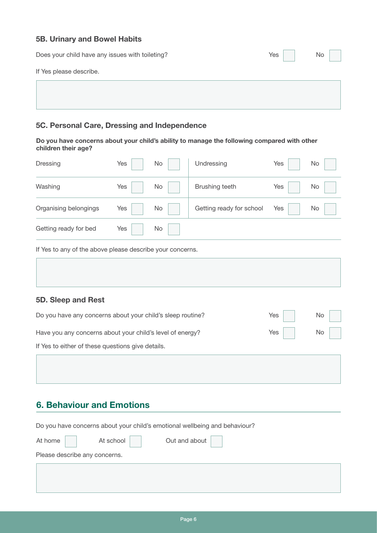#### **5B. Urinary and Bowel Habits**

| Does your child have any issues with toileting? | Yes | No |
|-------------------------------------------------|-----|----|
| If Yes please describe.                         |     |    |
|                                                 |     |    |
|                                                 |     |    |
|                                                 |     |    |

#### **5C. Personal Care, Dressing and Independence**

**Do you have concerns about your child's ability to manage the following compared with other children their age?**

| Dressing                                                  | Yes | No | Undressing               | Yes | No        |
|-----------------------------------------------------------|-----|----|--------------------------|-----|-----------|
| Washing                                                   | Yes | No | Brushing teeth           | Yes | <b>No</b> |
| Organising belongings                                     | Yes | No | Getting ready for school | Yes | No        |
| Getting ready for bed                                     | Yes | No |                          |     |           |
| If Yes to any of the above please describe your concerns. |     |    |                          |     |           |

| 5D. Sleep and Rest                                         |     |    |
|------------------------------------------------------------|-----|----|
| Do you have any concerns about your child's sleep routine? | Yes | No |
| Have you any concerns about your child's level of energy?  | Yes | No |

If Yes to either of these questions give details.

## **6. Behaviour and Emotions**

| Do you have concerns about your child's emotional wellbeing and behaviour? |           |                       |  |  |  |
|----------------------------------------------------------------------------|-----------|-----------------------|--|--|--|
| At home                                                                    | At school | Out and about $\vert$ |  |  |  |
| Please describe any concerns.                                              |           |                       |  |  |  |
|                                                                            |           |                       |  |  |  |
|                                                                            |           |                       |  |  |  |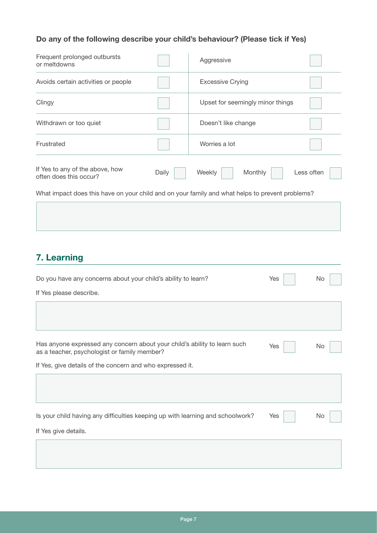#### **Do any of the following describe your child's behaviour? (Please tick if Yes)**

| Frequent prolonged outbursts<br>or meltdowns                                                    |       | Aggressive                       |            |
|-------------------------------------------------------------------------------------------------|-------|----------------------------------|------------|
| Avoids certain activities or people                                                             |       | <b>Excessive Crying</b>          |            |
| Clingy                                                                                          |       | Upset for seemingly minor things |            |
| Withdrawn or too quiet                                                                          |       | Doesn't like change              |            |
| Frustrated                                                                                      |       | Worries a lot                    |            |
| If Yes to any of the above, how<br>often does this occur?                                       | Daily | Weekly<br>Monthly                | Less often |
| What impact does this have on your child and on your family and what helps to prevent problems? |       |                                  |            |
|                                                                                                 |       |                                  |            |

# **7. Learning**

| Do you have any concerns about your child's ability to learn?                                                             | Yes | No |
|---------------------------------------------------------------------------------------------------------------------------|-----|----|
| If Yes please describe.                                                                                                   |     |    |
|                                                                                                                           |     |    |
|                                                                                                                           |     |    |
| Has anyone expressed any concern about your child's ability to learn such<br>as a teacher, psychologist or family member? | Yes | No |
| If Yes, give details of the concern and who expressed it.                                                                 |     |    |
|                                                                                                                           |     |    |
|                                                                                                                           |     |    |
| Is your child having any difficulties keeping up with learning and schoolwork?                                            | Yes | No |
| If Yes give details.                                                                                                      |     |    |
|                                                                                                                           |     |    |
|                                                                                                                           |     |    |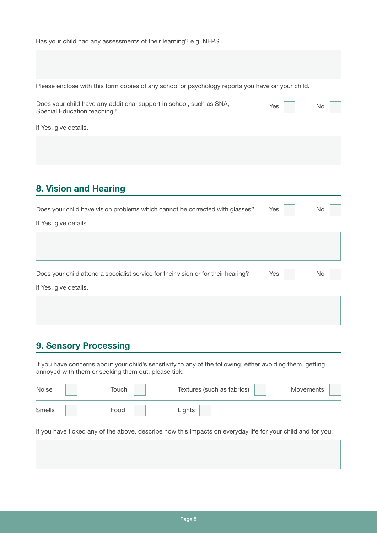Please enclose with this form copies of any school or psychology reports you have on your child.

| Does your child have any additional support in school, such as SNA, | Yes | No. |  |
|---------------------------------------------------------------------|-----|-----|--|
| Special Education teaching?                                         |     |     |  |
|                                                                     |     |     |  |

If Yes, give details.

### **8. Vision and Hearing**

| Does your child have vision problems which cannot be corrected with glasses?       | Yes | No  |
|------------------------------------------------------------------------------------|-----|-----|
| If Yes, give details.                                                              |     |     |
|                                                                                    |     |     |
|                                                                                    |     |     |
|                                                                                    |     |     |
| Does your child attend a specialist service for their vision or for their hearing? | Yes | No. |
| If Yes, give details.                                                              |     |     |
|                                                                                    |     |     |
|                                                                                    |     |     |

### **9. Sensory Processing**

If you have concerns about your child's sensitivity to any of the following, either avoiding them, getting annoyed with them or seeking them out, please tick:

| Noise  | Touch | Textures (such as fabrics) | <b>Movements</b> |
|--------|-------|----------------------------|------------------|
| Smells | Food  | Lights                     |                  |

If you have ticked any of the above, describe how this impacts on everyday life for your child and for you.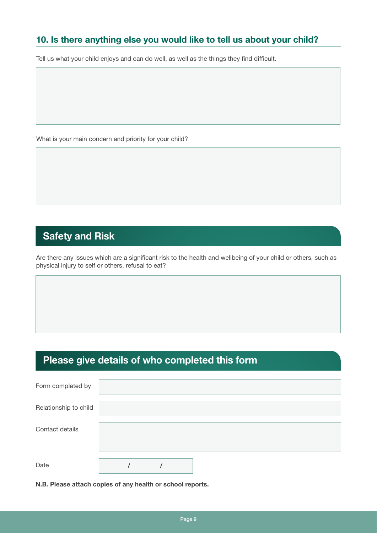### **10. Is there anything else you would like to tell us about your child?**

Tell us what your child enjoys and can do well, as well as the things they find difficult.

What is your main concern and priority for your child?

# **Safety and Risk**

Are there any issues which are a significant risk to the health and wellbeing of your child or others, such as physical injury to self or others, refusal to eat?

# **Please give details of who completed this form**

| Form completed by     |  |  |  |  |
|-----------------------|--|--|--|--|
| Relationship to child |  |  |  |  |
| Contact details       |  |  |  |  |
| Date                  |  |  |  |  |

**N.B. Please attach copies of any health or school reports.**